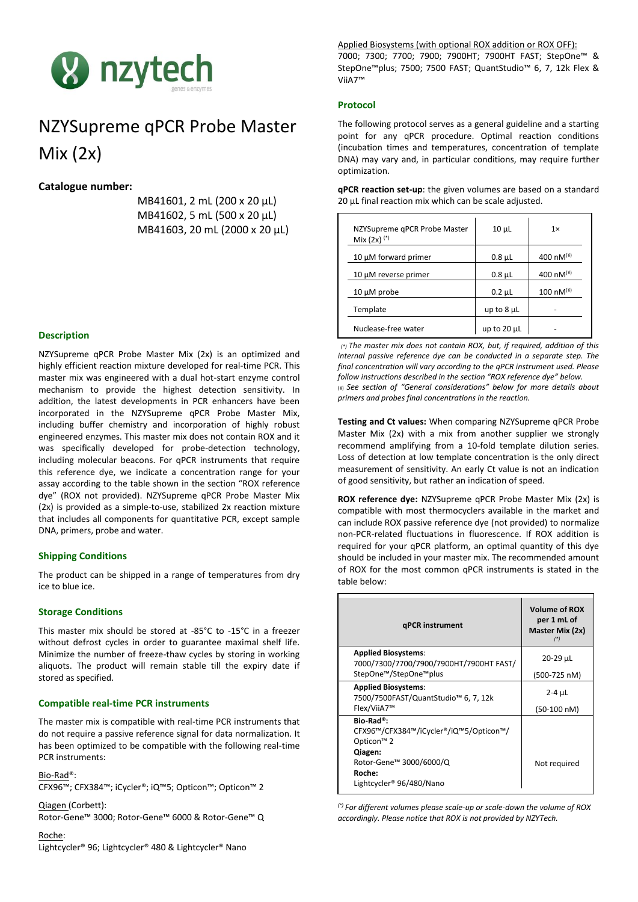

# NZYSupreme qPCR Probe Master Mix (2x)

**Catalogue number:**

MB41601, 2 mL (200 x 20 μL) MB41602, 5 mL (500 x 20 μL) MB41603, 20 mL (2000 x 20 μL)

## **Description**

NZYSupreme qPCR Probe Master Mix (2x) is an optimized and highly efficient reaction mixture developed for real-time PCR. This master mix was engineered with a dual hot-start enzyme control mechanism to provide the highest detection sensitivity. In addition, the latest developments in PCR enhancers have been incorporated in the NZYSupreme qPCR Probe Master Mix, including buffer chemistry and incorporation of highly robust engineered enzymes. This master mix does not contain ROX and it was specifically developed for probe-detection technology, including molecular beacons. For qPCR instruments that require this reference dye, we indicate a concentration range for your assay according to the table shown in the section "ROX reference dye" (ROX not provided). NZYSupreme qPCR Probe Master Mix (2x) is provided as a simple-to-use, stabilized 2x reaction mixture that includes all components for quantitative PCR, except sample DNA, primers, probe and water.

## **Shipping Conditions**

The product can be shipped in a range of temperatures from dry ice to blue ice.

## **Storage Conditions**

This master mix should be stored at -85°C to -15°C in a freezer without defrost cycles in order to guarantee maximal shelf life. Minimize the number of freeze-thaw cycles by storing in working aliquots. The product will remain stable till the expiry date if stored as specified.

## **Compatible real-time PCR instruments**

The master mix is compatible with real-time PCR instruments that do not require a passive reference signal for data normalization. It has been optimized to be compatible with the following real-time PCR instruments:

### Bio-Rad®:

CFX96™; CFX384™; iCycler®; iQ™5; Opticon™; Opticon™ 2

### Qiagen (Corbett):

Rotor-Gene™ 3000; Rotor-Gene™ 6000 & Rotor-Gene™ Q

### Roche:

Lightcycler® 96; Lightcycler® 480 & Lightcycler® Nano

Applied Biosystems (with optional ROX addition or ROX OFF): 7000; 7300; 7700; 7900; 7900HT; 7900HT FAST; StepOne™ & StepOne™plus; 7500; 7500 FAST; QuantStudio™ 6, 7, 12k Flex & ViiA7™

## **Protocol**

The following protocol serves as a general guideline and a starting point for any qPCR procedure. Optimal reaction conditions (incubation times and temperatures, concentration of template DNA) may vary and, in particular conditions, may require further optimization.

**qPCR reaction set-up**: the given volumes are based on a standard 20 µL final reaction mix which can be scale adjusted.

| NZYSupreme qPCR Probe Master<br>Mix $(2x)$ <sup>(*)</sup> | $10 \mu L$      | 1x                     |
|-----------------------------------------------------------|-----------------|------------------------|
| 10 $\mu$ M forward primer                                 | $0.8$ $\mu$ L   | 400 nM $(4)$           |
| 10 µM reverse primer                                      | $0.8 \mu L$     | 400 nM $(4)$           |
| $10 \mu M$ probe                                          | $0.2 \mu L$     | $100 \text{ nM}^{(4)}$ |
| Template                                                  | up to $8 \mu L$ |                        |
| Nuclease-free water                                       | up to 20 µL     |                        |

*(\*) The master mix does not contain ROX, but, if required, addition of this internal passive reference dye can be conducted in a separate step. The final concentration will vary according to the qPCR instrument used. Please follow instructions described in the section "ROX reference dye" below.*  (¥) *See section of "General considerations" below for more details about primers and probes final concentrations in the reaction.*

**Testing and Ct values:** When comparing NZYSupreme qPCR Probe Master Mix (2x) with a mix from another supplier we strongly recommend amplifying from a 10-fold template dilution series. Loss of detection at low template concentration is the only direct measurement of sensitivity. An early Ct value is not an indication of good sensitivity, but rather an indication of speed.

**ROX reference dye:** NZYSupreme qPCR Probe Master Mix (2x) is compatible with most thermocyclers available in the market and can include ROX passive reference dye (not provided) to normalize non-PCR-related fluctuations in fluorescence. If ROX addition is required for your qPCR platform, an optimal quantity of this dye should be included in your master mix. The recommended amount of ROX for the most common qPCR instruments is stated in the table below:

| <b>gPCR</b> instrument                                                                     | <b>Volume of ROX</b><br>per 1 mL of<br>Master Mix (2x)<br>$(*)$ |
|--------------------------------------------------------------------------------------------|-----------------------------------------------------------------|
| <b>Applied Biosystems:</b><br>7000/7300/7700/7900/7900HT/7900HT FAST/                      | 20-29 µL                                                        |
| StepOne™/StepOne™plus                                                                      | (500-725 nM)                                                    |
| <b>Applied Biosystems:</b><br>7500/7500FAST/QuantStudio™ 6, 7, 12k                         | 2-4 µL                                                          |
| Flex/ViiA7™                                                                                | $(50-100 \text{ nM})$                                           |
| Bio-Rad <sup>®</sup> :<br>CFX96™/CFX384™/iCycler®/iQ™5/Opticon™/<br>Opticon <sup>™</sup> 2 |                                                                 |
| Qiagen:<br>Rotor-Gene™ 3000/6000/Q<br>Roche:<br>Lightcycler <sup>®</sup> 96/480/Nano       | Not required                                                    |

*(\*) For different volumes please scale-up or scale-down the volume of ROX accordingly. Please notice that ROX is not provided by NZYTech.*